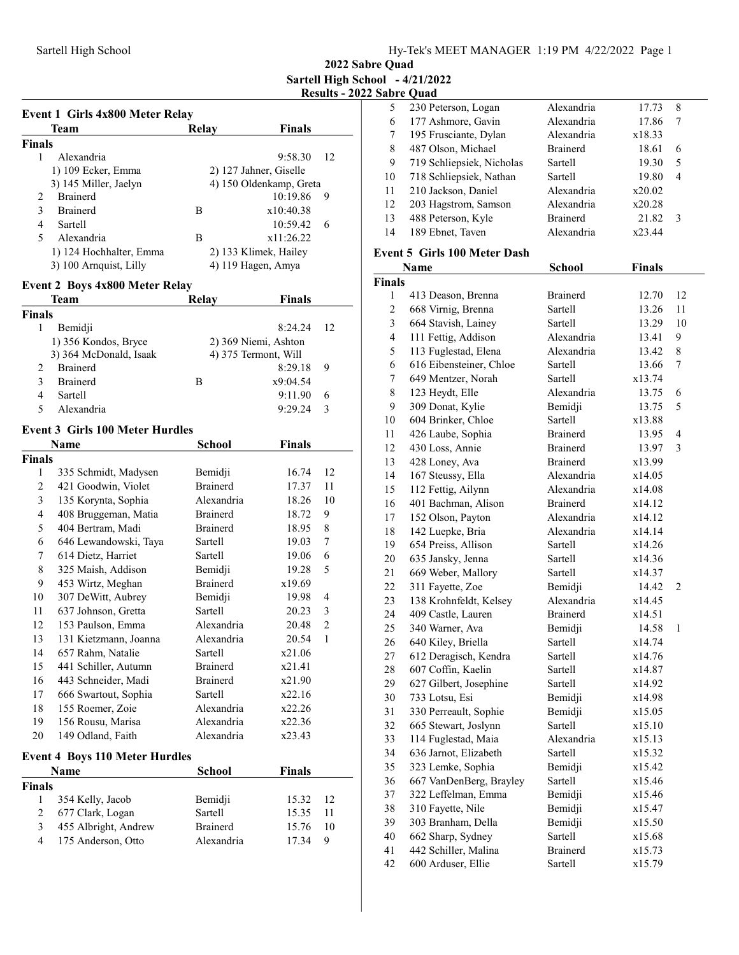2022 Sabre Quad Sartell High School - 4/21/2022 Results - 2022 Sabre Quad

| Event 1 Girls 4x800 Meter Relay |                                                |                 |                                              |    |  |
|---------------------------------|------------------------------------------------|-----------------|----------------------------------------------|----|--|
|                                 | Team                                           | Relay           | <b>Finals</b>                                |    |  |
| <b>Finals</b>                   |                                                |                 |                                              |    |  |
| 1                               | Alexandria                                     |                 | 9:58.30                                      | 12 |  |
|                                 | 1) 109 Ecker, Emma                             |                 | 2) 127 Jahner, Giselle                       |    |  |
|                                 | 3) 145 Miller, Jaelyn                          |                 | 4) 150 Oldenkamp, Greta                      |    |  |
| 2                               | Brainerd                                       |                 | 10:19.86                                     | 9  |  |
| 3                               | <b>Brainerd</b>                                | B               | x10:40.38                                    |    |  |
| 4                               | Sartell                                        |                 | 10:59.42                                     | 6  |  |
| 5                               | Alexandria                                     | B               | x11:26.22                                    |    |  |
|                                 | 1) 124 Hochhalter, Emma                        |                 | 2) 133 Klimek, Hailey                        |    |  |
|                                 | 3) 100 Arnquist, Lilly                         |                 | 4) 119 Hagen, Amya                           |    |  |
|                                 | <b>Event 2 Boys 4x800 Meter Relay</b>          |                 |                                              |    |  |
|                                 | Team                                           | <b>Relay</b>    | <b>Finals</b>                                |    |  |
| <b>Finals</b>                   |                                                |                 |                                              |    |  |
| 1                               | Bemidji                                        |                 | 8:24.24                                      | 12 |  |
|                                 |                                                |                 |                                              |    |  |
|                                 | 1) 356 Kondos, Bryce<br>3) 364 McDonald, Isaak |                 | 2) 369 Niemi, Ashton<br>4) 375 Termont, Will |    |  |
| 2                               | <b>Brainerd</b>                                |                 | 8:29.18                                      | 9  |  |
| 3                               | <b>Brainerd</b>                                | B               | x9:04.54                                     |    |  |
| 4                               | Sartell                                        |                 | 9:11.90                                      | 6  |  |
| 5                               | Alexandria                                     |                 | 9:29.24                                      | 3  |  |
|                                 |                                                |                 |                                              |    |  |
|                                 | <b>Event 3 Girls 100 Meter Hurdles</b>         |                 |                                              |    |  |
|                                 | <b>Name</b>                                    | <b>School</b>   | <b>Finals</b>                                |    |  |
| <b>Finals</b>                   |                                                |                 |                                              |    |  |
| 1                               | 335 Schmidt, Madysen                           | Bemidji         | 16.74                                        | 12 |  |
| 2                               | 421 Goodwin, Violet                            | <b>Brainerd</b> | 17.37                                        | 11 |  |
| 3                               | 135 Korynta, Sophia                            | Alexandria      | 18.26                                        | 10 |  |
| 4                               | 408 Bruggeman, Matia                           | <b>Brainerd</b> | 18.72                                        | 9  |  |
| 5                               | 404 Bertram, Madi                              | <b>Brainerd</b> | 18.95                                        | 8  |  |
| 6                               | 646 Lewandowski, Taya                          | Sartell         | 19.03                                        | 7  |  |
| 7                               | 614 Dietz, Harriet                             | Sartell         | 19.06                                        | 6  |  |
| 8                               | 325 Maish, Addison                             | Bemidji         | 19.28                                        | 5  |  |
| 9                               | 453 Wirtz, Meghan                              | <b>Brainerd</b> | x19.69                                       |    |  |
| 10                              | 307 DeWitt, Aubrey                             | Bemidji         | 19.98                                        | 4  |  |
| 11                              | 637 Johnson, Gretta                            | Sartell         | 20.23                                        | 3  |  |
| 12                              | 153 Paulson, Emma                              | Alexandria      | 20.48                                        | 2  |  |
| 13                              | 131 Kietzmann, Joanna                          | Alexandria      | 20.54                                        | 1  |  |
| 14                              | 657 Rahm, Natalie                              | Sartell         | x21.06                                       |    |  |
| 15                              | 441 Schiller, Autumn                           | Brainerd        | x21.41                                       |    |  |
| 16                              | 443 Schneider, Madi                            | <b>Brainerd</b> | x21.90                                       |    |  |
| 17                              | 666 Swartout, Sophia                           | Sartell         | x22.16                                       |    |  |
| 18                              | 155 Roemer, Zoie                               | Alexandria      | x22.26                                       |    |  |
| 19                              | 156 Rousu, Marisa                              | Alexandria      | x22.36                                       |    |  |
| 20                              | 149 Odland, Faith                              | Alexandria      | x23.43                                       |    |  |
|                                 | <b>Event 4 Boys 110 Meter Hurdles</b>          |                 |                                              |    |  |
|                                 | Name                                           | <b>School</b>   | <b>Finals</b>                                |    |  |
|                                 |                                                |                 |                                              |    |  |
| <b>Finals</b><br>1              | 354 Kelly, Jacob                               | Bemidji         |                                              | 12 |  |
| $\overline{2}$                  | 677 Clark, Logan                               | Sartell         | 15.32<br>15.35                               | 11 |  |
| 3                               | 455 Albright, Andrew                           | <b>Brainerd</b> | 15.76                                        | 10 |  |
| 4                               | 175 Anderson, Otto                             | Alexandria      | 17.34                                        | 9  |  |
|                                 |                                                |                 |                                              |    |  |

|    | www.comm                  |                 |        |   |  |
|----|---------------------------|-----------------|--------|---|--|
| 5  | 230 Peterson, Logan       | Alexandria      | 17.73  | 8 |  |
| 6  | 177 Ashmore, Gavin        | Alexandria      | 17.86  |   |  |
| 7  | 195 Frusciante, Dylan     | Alexandria      | x18.33 |   |  |
| 8  | 487 Olson, Michael        | <b>Brainerd</b> | 18.61  | 6 |  |
| 9  | 719 Schliepsiek, Nicholas | Sartell         | 19.30  | 5 |  |
| 10 | 718 Schliepsiek, Nathan   | Sartell         | 19.80  | 4 |  |
| 11 | 210 Jackson, Daniel       | Alexandria      | x20.02 |   |  |
| 12 | 203 Hagstrom, Samson      | Alexandria      | x20.28 |   |  |
| 13 | 488 Peterson, Kyle        | <b>Brainerd</b> | 21.82  | 3 |  |
| 14 | 189 Ebnet, Taven          | Alexandria      | x23.44 |   |  |
|    |                           |                 |        |   |  |

### Event 5 Girls 100 Meter Dash

|                         | Name                    | <b>School</b>   | <b>Finals</b> |                |
|-------------------------|-------------------------|-----------------|---------------|----------------|
| <b>Finals</b>           |                         |                 |               |                |
| 1                       | 413 Deason, Brenna      | Brainerd        | 12.70         | 12             |
| $\overline{c}$          | 668 Virnig, Brenna      | Sartell         | 13.26         | 11             |
| $\overline{\mathbf{3}}$ | 664 Stavish, Lainey     | Sartell         | 13.29         | 10             |
| $\overline{4}$          | 111 Fettig, Addison     | Alexandria      | 13.41         | 9              |
| 5                       | 113 Fuglestad, Elena    | Alexandria      | 13.42         | 8              |
| 6                       | 616 Eibensteiner, Chloe | Sartell         | 13.66         | 7              |
| 7                       | 649 Mentzer, Norah      | <b>Sartell</b>  | x13.74        |                |
| 8                       | 123 Heydt, Elle         | Alexandria      | 13.75         | 6              |
| 9                       | 309 Donat, Kylie        | Bemidji         | 13.75         | 5              |
| 10                      | 604 Brinker, Chloe      | Sartell         | x13.88        |                |
| 11                      | 426 Laube, Sophia       | <b>Brainerd</b> | 13.95         | $\overline{4}$ |
| 12                      | 430 Loss, Annie         | <b>Brainerd</b> | 13.97         | 3              |
| 13                      | 428 Loney, Ava          | <b>Brainerd</b> | x13.99        |                |
| 14                      | 167 Steussy, Ella       | Alexandria      | x14.05        |                |
| 15                      | 112 Fettig, Ailynn      | Alexandria      | x14.08        |                |
| 16                      | 401 Bachman, Alison     | <b>Brainerd</b> | x14.12        |                |
| 17                      | 152 Olson, Payton       | Alexandria      | x14.12        |                |
| 18                      | 142 Luepke, Bria        | Alexandria      | x14.14        |                |
| 19                      | 654 Preiss, Allison     | Sartell         | x14.26        |                |
| 20                      | 635 Jansky, Jenna       | Sartell         | x14.36        |                |
| 21                      | 669 Weber, Mallory      | Sartell         | x14.37        |                |
| 22                      | 311 Fayette, Zoe        | Bemidji         | 14.42         | 2              |
| 23                      | 138 Krohnfeldt, Kelsey  | Alexandria      | x14.45        |                |
| 24                      | 409 Castle, Lauren      | <b>Brainerd</b> | x14.51        |                |
| 25                      | 340 Warner, Ava         | Bemidji         | 14.58         | $\mathbf{1}$   |
| 26                      | 640 Kiley, Briella      | Sartell         | x14.74        |                |
| 27                      | 612 Deragisch, Kendra   | Sartell         | x14.76        |                |
| 28                      | 607 Coffin, Kaelin      | Sartell         | x14.87        |                |
| 29                      | 627 Gilbert, Josephine  | Sartell         | x14.92        |                |
| 30                      | 733 Lotsu, Esi          | Bemidji         | x14.98        |                |
| 31                      | 330 Perreault, Sophie   | Bemidji         | x15.05        |                |
| 32                      | 665 Stewart, Joslynn    | Sartell         | x15.10        |                |
| 33                      | 114 Fuglestad, Maia     | Alexandria      | x15.13        |                |
| 34                      | 636 Jarnot, Elizabeth   | Sartell         | x15.32        |                |
| 35                      | 323 Lemke, Sophia       | Bemidji         | x15.42        |                |
| 36                      | 667 VanDenBerg, Brayley | Sartell         | x15.46        |                |
| 37                      | 322 Leffelman, Emma     | Bemidji         | x15.46        |                |
| 38                      | 310 Fayette, Nile       | Bemidji         | x15.47        |                |
| 39                      | 303 Branham, Della      | Bemidji         | x15.50        |                |
| 40                      | 662 Sharp, Sydney       | Sartell         | x15.68        |                |
| 41                      | 442 Schiller, Malina    | <b>Brainerd</b> | x15.73        |                |
| 42                      | 600 Arduser, Ellie      | Sartell         | x15.79        |                |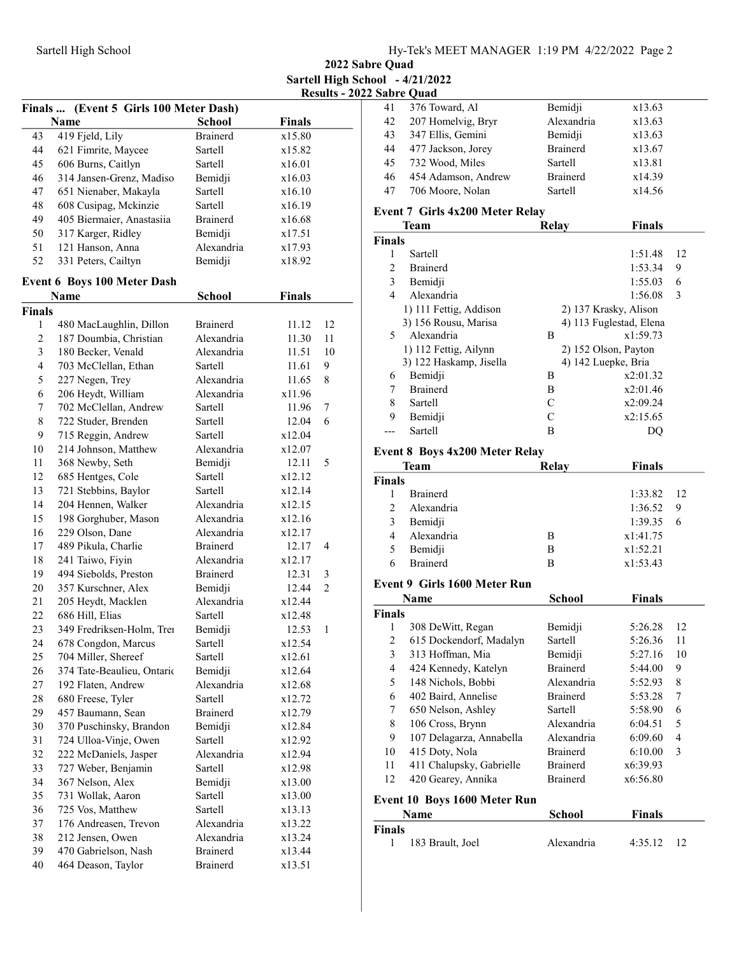2022 Sabre Quad Sartell High School - 4/21/2022 Results - 2022 Sabre Quad

|                | Finals  (Event 5 Girls 100 Meter Dash) |                 |               |                |
|----------------|----------------------------------------|-----------------|---------------|----------------|
|                | Name                                   | <b>School</b>   | <b>Finals</b> |                |
| 43             | 419 Fjeld, Lily                        | <b>Brainerd</b> | x15.80        |                |
| 44             | 621 Fimrite, Maycee                    | Sartell         | x15.82        |                |
| 45             | 606 Burns, Caitlyn                     | Sartell         | x16.01        |                |
| 46             | 314 Jansen-Grenz, Madiso               | Bemidji         | x16.03        |                |
| 47             | 651 Nienaber, Makayla                  | Sartell         | x16.10        |                |
| 48             | 608 Cusipag, Mckinzie                  | Sartell         | x16.19        |                |
| 49             | 405 Biermaier, Anastasiia              | Brainerd        | x16.68        |                |
| 50             | 317 Karger, Ridley                     | Bemidji         | x17.51        |                |
| 51             | 121 Hanson, Anna                       | Alexandria      | x17.93        |                |
| 52             | 331 Peters, Cailtyn                    | Bemidji         | x18.92        |                |
|                | <b>Event 6 Boys 100 Meter Dash</b>     |                 |               |                |
|                | Name                                   | <b>School</b>   | <b>Finals</b> |                |
| Finals         |                                        |                 |               |                |
| 1              | 480 MacLaughlin, Dillon                | <b>Brainerd</b> | 11.12         | 12             |
| $\mathfrak{2}$ | 187 Doumbia, Christian                 | Alexandria      | 11.30         | 11             |
| 3              | 180 Becker, Venald                     | Alexandria      | 11.51         | 10             |
| $\overline{4}$ | 703 McClellan, Ethan                   | Sartell         | 11.61         | 9              |
| 5              | 227 Negen, Trey                        | Alexandria      | 11.65         | 8              |
| 6              | 206 Heydt, William                     | Alexandria      | x11.96        |                |
| 7              | 702 McClellan, Andrew                  | Sartell         | 11.96         | 7              |
| $\,$ 8 $\,$    | 722 Studer, Brenden                    | Sartell         | 12.04         | 6              |
| 9              | 715 Reggin, Andrew                     | Sartell         | x12.04        |                |
| 10             | 214 Johnson, Matthew                   | Alexandria      | x12.07        |                |
| 11             | 368 Newby, Seth                        | Bemidji         | 12.11         | 5              |
| 12             | 685 Hentges, Cole                      | Sartell         | x12.12        |                |
| 13             | 721 Stebbins, Baylor                   | Sartell         | x12.14        |                |
| 14             | 204 Hennen, Walker                     | Alexandria      | x12.15        |                |
| 15             | 198 Gorghuber, Mason                   | Alexandria      | x12.16        |                |
| 16             | 229 Olson, Dane                        | Alexandria      | x12.17        |                |
| 17             | 489 Pikula, Charlie                    | <b>Brainerd</b> | 12.17         | 4              |
| 18             | 241 Taiwo, Fiyin                       | Alexandria      | x12.17        |                |
| 19             | 494 Siebolds, Preston                  | <b>Brainerd</b> | 12.31         | 3              |
| 20             | 357 Kurschner, Alex                    | Bemidji         | 12.44         | $\overline{c}$ |
| 21             | 205 Heydt, Macklen                     | Alexandria      | x12.44        |                |
| 22             | 686 Hill, Elias                        | Sartell         | x12.48        |                |
| 23             | 349 Fredriksen-Holm, Trei              | Bemidji         | 12.53         | 1              |
| 24             | 678 Congdon, Marcus                    | Sartell         | x12.54        |                |
| 25             | 704 Miller, Shereef                    | Sartell         | x12.61        |                |
| 26             | 374 Tate-Beaulieu, Ontario             | Bemidji         | x12.64        |                |
| 27             | 192 Flaten, Andrew                     | Alexandria      | x12.68        |                |
| 28             | 680 Freese, Tyler                      | Sartell         | x12.72        |                |
| 29             | 457 Baumann, Sean                      | Brainerd        | x12.79        |                |
| 30             | 370 Puschinsky, Brandon                | Bemidji         | x12.84        |                |
| 31             | 724 Ulloa-Vinje, Owen                  | Sartell         | x12.92        |                |
| 32             | 222 McDaniels, Jasper                  | Alexandria      | x12.94        |                |
| 33             | 727 Weber, Benjamin                    | Sartell         | x12.98        |                |
| 34             | 367 Nelson, Alex                       | Bemidji         | x13.00        |                |
| 35             | 731 Wollak, Aaron                      | Sartell         | x13.00        |                |
| 36             | 725 Vos, Matthew                       | Sartell         | x13.13        |                |
| 37             | 176 Andreasen, Trevon                  | Alexandria      | x13.22        |                |
| 38             | 212 Jensen, Owen                       | Alexandria      | x13.24        |                |
| 39             | 470 Gabrielson, Nash                   | Brainerd        | x13.44        |                |
| 40             | 464 Deason, Taylor                     | Brainerd        | x13.51        |                |
|                |                                        |                 |               |                |

| 41 | 376 Toward, Al        | Bemidji         | x13.63 |  |
|----|-----------------------|-----------------|--------|--|
| 42 | 207 Homelvig, Bryr    | Alexandria      | x13.63 |  |
| 43 | 347 Ellis, Gemini     | Bemidji         | x13.63 |  |
|    | 44 477 Jackson, Jorey | <b>Brainerd</b> | x13.67 |  |
| 45 | 732 Wood, Miles       | Sartell         | x13.81 |  |
| 46 | 454 Adamson, Andrew   | <b>Brainerd</b> | x14.39 |  |
| 47 | 706 Moore, Nolan      | Sartell         | x14.56 |  |
|    |                       |                 |        |  |

# Event 7 Girls 4x200 Meter Relay

|               | <b>Team</b>             | Relay | <b>Finals</b>           |
|---------------|-------------------------|-------|-------------------------|
| <b>Finals</b> |                         |       |                         |
|               | Sartell                 |       | 1:51.48<br>12           |
| 2             | <b>Brainerd</b>         |       | 1:53.34<br>9            |
| 3             | Bemidji                 |       | 1:55.03<br>6            |
| 4             | Alexandria              |       | 3<br>1:56.08            |
|               | 1) 111 Fettig, Addison  |       | 2) 137 Krasky, Alison   |
|               | 3) 156 Rousu, Marisa    |       | 4) 113 Fuglestad, Elena |
| 5.            | Alexandria              | B     | x1:59.73                |
|               | 1) 112 Fettig, Ailynn   |       | 2) 152 Olson, Payton    |
|               | 3) 122 Haskamp, Jisella |       | 4) 142 Luepke, Bria     |
| 6             | Bemidji                 | Β     | x2:01.32                |
| 7             | <b>Brainerd</b>         | B     | x2:01.46                |
| 8             | Sartell                 | C     | x2:09.24                |
| 9             | Bemidji                 | C     | x2:15.65                |
|               | Sartell                 | В     | DO                      |

## Event 8 Boys 4x200 Meter Relay

|                | Team            | Relay | <b>Finals</b> |     |
|----------------|-----------------|-------|---------------|-----|
| <b>Finals</b>  |                 |       |               |     |
|                | <b>Brainerd</b> |       | 1:33.82 12    |     |
| $\mathfrak{D}$ | Alexandria      |       | 1:36.52       | - 9 |
| 3              | Bemidji         |       | 1:39.35       | - 6 |
| 4              | Alexandria      | В     | x1:41.75      |     |
| 5              | Bemidji         | В     | x1:52.21      |     |
| 6              | <b>Brainerd</b> | в     | x1:53.43      |     |

#### Event 9 Girls 1600 Meter Run

|                | Name                         | School          | <b>Finals</b> |    |
|----------------|------------------------------|-----------------|---------------|----|
| <b>Finals</b>  |                              |                 |               |    |
| 1              | 308 DeWitt, Regan            | Bemidji         | 5:26.28       | 12 |
| $\overline{c}$ | 615 Dockendorf, Madalyn      | Sartell         | 5:26.36       | 11 |
| 3              | 313 Hoffman, Mia             | Bemidji         | 5:27.16       | 10 |
| $\overline{4}$ | 424 Kennedy, Katelyn         | <b>Brainerd</b> | 5:44.00       | 9  |
| 5              | 148 Nichols, Bobbi           | Alexandria      | 5:52.93       | 8  |
| 6              | 402 Baird, Annelise          | <b>Brainerd</b> | 5:53.28       | 7  |
| 7              | 650 Nelson, Ashley           | Sartell         | 5:58.90       | 6  |
| 8              | 106 Cross, Brynn             | Alexandria      | 6:04.51       | 5  |
| 9              | 107 Delagarza, Annabella     | Alexandria      | 6:09.60       | 4  |
| 10             | 415 Doty, Nola               | <b>Brainerd</b> | 6:10.00       | 3  |
| 11             | 411 Chalupsky, Gabrielle     | <b>Brainerd</b> | x6:39.93      |    |
| 12             | 420 Gearey, Annika           | <b>Brainerd</b> | x6:56.80      |    |
|                | Event 10 Boys 1600 Meter Run |                 |               |    |
|                | Name                         | School          | <b>Finals</b> |    |
| <b>Finals</b>  |                              |                 |               |    |
|                | 183 Brault, Joel             | Alexandria      | 4:35.12       | 12 |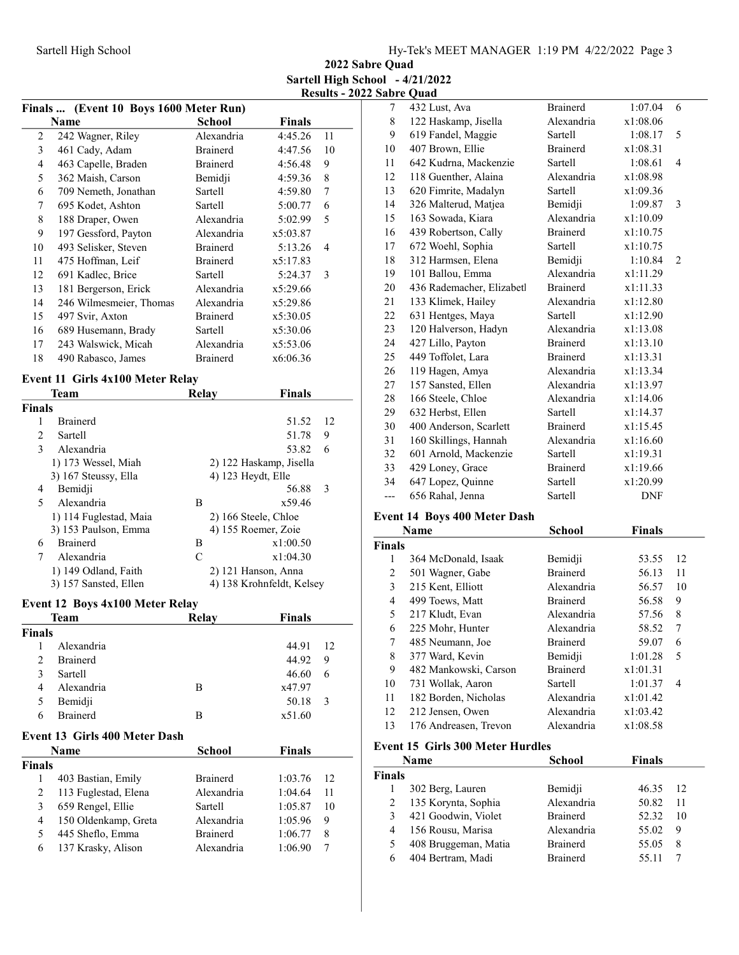2022 Sabre Quad Sartell High School - 4/21/2022 Results - 2022 Sabre Quad

| (Event 10 Boys 1600 Meter Run)<br>Finals |                                             |                      |                           |    |  |
|------------------------------------------|---------------------------------------------|----------------------|---------------------------|----|--|
|                                          | Name                                        | <b>School</b>        | <b>Finals</b>             |    |  |
| 2                                        | 242 Wagner, Riley                           | Alexandria           | 4:45.26                   | 11 |  |
| 3                                        | 461 Cady, Adam                              | <b>Brainerd</b>      | 4:47.56                   | 10 |  |
| $\overline{4}$                           | 463 Capelle, Braden                         | <b>Brainerd</b>      | 4:56.48                   | 9  |  |
| 5                                        | 362 Maish, Carson                           | Bemidji              | 4:59.36                   | 8  |  |
| 6                                        | 709 Nemeth, Jonathan                        | Sartell              | 4:59.80                   | 7  |  |
| 7                                        | 695 Kodet, Ashton                           | Sartell              | 5:00.77                   | 6  |  |
| 8                                        | 188 Draper, Owen                            | Alexandria           | 5:02.99                   | 5  |  |
| 9                                        | 197 Gessford, Payton                        | Alexandria           | x5:03.87                  |    |  |
| 10                                       | 493 Selisker, Steven                        | <b>Brainerd</b>      | 5:13.26                   | 4  |  |
| 11                                       | 475 Hoffman, Leif                           | <b>Brainerd</b>      | x5:17.83                  |    |  |
| 12                                       | 691 Kadlec, Brice                           | Sartell              | 5:24.37                   | 3  |  |
| 13                                       | 181 Bergerson, Erick                        | Alexandria           | x5:29.66                  |    |  |
| 14                                       | 246 Wilmesmeier, Thomas                     | Alexandria           | x5:29.86                  |    |  |
| 15                                       | 497 Svir, Axton                             | <b>Brainerd</b>      | x5:30.05                  |    |  |
| 16                                       | 689 Husemann, Brady                         | Sartell              | x5:30.06                  |    |  |
| 17                                       | 243 Walswick, Micah                         | Alexandria           | x5:53.06                  |    |  |
| 18                                       | 490 Rabasco, James                          | <b>Brainerd</b>      | x6:06.36                  |    |  |
|                                          |                                             |                      |                           |    |  |
|                                          | Event 11 Girls 4x100 Meter Relay            |                      |                           |    |  |
|                                          | <b>Team</b>                                 | <b>Relay</b>         | <b>Finals</b>             |    |  |
| <b>Finals</b>                            |                                             |                      |                           |    |  |
| 1                                        | <b>Brainerd</b>                             |                      | 51.52                     | 12 |  |
| $\overline{2}$                           | Sartell                                     |                      | 51.78                     | 9  |  |
| 3                                        | Alexandria                                  |                      | 53.82                     | 6  |  |
|                                          | 1) 173 Wessel, Miah<br>3) 167 Steussy, Ella |                      | 2) 122 Haskamp, Jisella   |    |  |
| 4                                        | Bemidji                                     | 4) 123 Heydt, Elle   | 56.88                     | 3  |  |
| $\overline{\phantom{0}}$                 | Alexandria                                  | B                    | x59.46                    |    |  |
|                                          | 1) 114 Fuglestad, Maia                      | 2) 166 Steele, Chloe |                           |    |  |
|                                          | 3) 153 Paulson, Emma                        | 4) 155 Roemer, Zoie  |                           |    |  |
| 6                                        | <b>Brainerd</b>                             | B                    | x1:00.50                  |    |  |
| 7                                        | Alexandria                                  | C                    | x1:04.30                  |    |  |
|                                          | 1) 149 Odland, Faith                        |                      | 2) 121 Hanson, Anna       |    |  |
|                                          | 3) 157 Sansted, Ellen                       |                      | 4) 138 Krohnfeldt, Kelsey |    |  |
|                                          |                                             |                      |                           |    |  |
|                                          | Event 12 Boys 4x100 Meter Relay             |                      |                           |    |  |
|                                          | Team                                        | Relay                | <b>Finals</b>             |    |  |
| <b>Finals</b>                            | Alexandria                                  |                      |                           |    |  |
| 1<br>$\overline{c}$                      |                                             |                      | 44.91                     | 12 |  |
|                                          | <b>Brainerd</b>                             |                      | 44.92                     | 9  |  |
| 3                                        | Sartell                                     |                      | 46.60                     | 6  |  |
| 4                                        | Alexandria                                  | B                    | x47.97                    |    |  |
| 5<br>6                                   | Bemidji<br><b>Brainerd</b>                  | B                    | 50.18<br>x51.60           | 3  |  |
|                                          |                                             |                      |                           |    |  |
|                                          | <b>Event 13 Girls 400 Meter Dash</b>        |                      |                           |    |  |
|                                          | <b>Name</b>                                 | School               | <b>Finals</b>             |    |  |
| <b>Finals</b>                            |                                             |                      |                           |    |  |
| 1                                        | 403 Bastian, Emily                          | <b>Brainerd</b>      | 1:03.76                   | 12 |  |
| $\overline{c}$                           | 113 Fuglestad, Elena                        | Alexandria           | 1:04.64                   | 11 |  |
| 3                                        | 659 Rengel, Ellie                           | Sartell              | 1:05.87                   | 10 |  |
| 4                                        | 150 Oldenkamp, Greta                        | Alexandria           | 1:05.96                   | 9  |  |

5 1:06.77 8 445 Sheflo, Emma Brainerd 6 1:06.90 7 137 Krasky, Alison Alexandria

| .   |                           |                 |            |                |
|-----|---------------------------|-----------------|------------|----------------|
| 7   | 432 Lust, Ava             | <b>Brainerd</b> | 1:07.04    | 6              |
| 8   | 122 Haskamp, Jisella      | Alexandria      | x1:08.06   |                |
| 9   | 619 Fandel, Maggie        | Sartell         | 1:08.17    | 5              |
| 10  | 407 Brown, Ellie          | <b>Brainerd</b> | x1:08.31   |                |
| 11  | 642 Kudrna, Mackenzie     | Sartell         | 1:08.61    | $\overline{4}$ |
| 12  | 118 Guenther, Alaina      | Alexandria      | x1:08.98   |                |
| 13  | 620 Fimrite, Madalyn      | Sartell         | x1:09.36   |                |
| 14  | 326 Malterud, Matjea      | Bemidji         | 1:09.87    | 3              |
| 15  | 163 Sowada, Kiara         | Alexandria      | x1:10.09   |                |
| 16  | 439 Robertson, Cally      | <b>Brainerd</b> | x1:10.75   |                |
| 17  | 672 Woehl, Sophia         | Sartell         | x1:10.75   |                |
| 18  | 312 Harmsen, Elena        | Bemidji         | 1:10.84    | 2              |
| 19  | 101 Ballou, Emma          | Alexandria      | x1:11.29   |                |
| 20  | 436 Rademacher, Elizabetl | <b>Brainerd</b> | x1:11.33   |                |
| 21  | 133 Klimek, Hailey        | Alexandria      | x1:12.80   |                |
| 22  | 631 Hentges, Maya         | Sartell         | x1:12.90   |                |
| 23  | 120 Halverson, Hadyn      | Alexandria      | x1:13.08   |                |
| 24  | 427 Lillo, Payton         | <b>Brainerd</b> | x1:13.10   |                |
| 25  | 449 Toffolet, Lara        | <b>Brainerd</b> | x1:13.31   |                |
| 26  | 119 Hagen, Amya           | Alexandria      | x1:13.34   |                |
| 27  | 157 Sansted, Ellen        | Alexandria      | x1:13.97   |                |
| 28  | 166 Steele, Chloe         | Alexandria      | x1:14.06   |                |
| 29  | 632 Herbst, Ellen         | Sartell         | x1:14.37   |                |
| 30  | 400 Anderson, Scarlett    | <b>Brainerd</b> | x1:15.45   |                |
| 31  | 160 Skillings, Hannah     | Alexandria      | x1:16.60   |                |
| 32  | 601 Arnold, Mackenzie     | Sartell         | x1:19.31   |                |
| 33  | 429 Loney, Grace          | <b>Brainerd</b> | x1:19.66   |                |
| 34  | 647 Lopez, Quinne         | Sartell         | x1:20.99   |                |
| --- | 656 Rahal, Jenna          | Sartell         | <b>DNF</b> |                |

### Event 14 Boys 400 Meter Dash

|               | Name                  | School          | <b>Finals</b> |    |
|---------------|-----------------------|-----------------|---------------|----|
| <b>Finals</b> |                       |                 |               |    |
| 1             | 364 McDonald, Isaak   | Bemidji         | 53.55         | 12 |
| 2             | 501 Wagner, Gabe      | <b>Brainerd</b> | 56.13         | 11 |
| 3             | 215 Kent, Elliott     | Alexandria      | 56.57         | 10 |
| 4             | 499 Toews, Matt       | <b>Brainerd</b> | 56.58         | 9  |
| 5             | 217 Kludt, Evan       | Alexandria      | 57.56         | 8  |
| 6             | 225 Mohr, Hunter      | Alexandria      | 58.52         | 7  |
| 7             | 485 Neumann, Joe      | <b>Brainerd</b> | 59.07         | 6  |
| 8             | 377 Ward, Kevin       | Bemidji         | 1:01.28       | 5  |
| 9             | 482 Mankowski, Carson | <b>Brainerd</b> | x1:01.31      |    |
| 10            | 731 Wollak, Aaron     | Sartell         | 1:01.37       | 4  |
| 11            | 182 Borden, Nicholas  | Alexandria      | x1:01.42      |    |
| 12            | 212 Jensen, Owen      | Alexandria      | x1:03.42      |    |
| 13            | 176 Andreasen, Trevon | Alexandria      | x1:08.58      |    |

#### Event 15 Girls 300 Meter Hurdles

|               | <b>Name</b>          | <b>School</b>   | <b>Finals</b> |    |
|---------------|----------------------|-----------------|---------------|----|
| <b>Finals</b> |                      |                 |               |    |
|               | 302 Berg, Lauren     | Bemidji         | 46.35         | 12 |
| 2             | 135 Korynta, Sophia  | Alexandria      | 50.82         | 11 |
| 3             | 421 Goodwin, Violet  | <b>Brainerd</b> | 52.32         | 10 |
| 4             | 156 Rousu, Marisa    | Alexandria      | 55.02         | 9  |
| 5             | 408 Bruggeman, Matia | <b>Brainerd</b> | 55.05         | 8  |
| 6             | 404 Bertram, Madi    | <b>Brainerd</b> | 55 11         |    |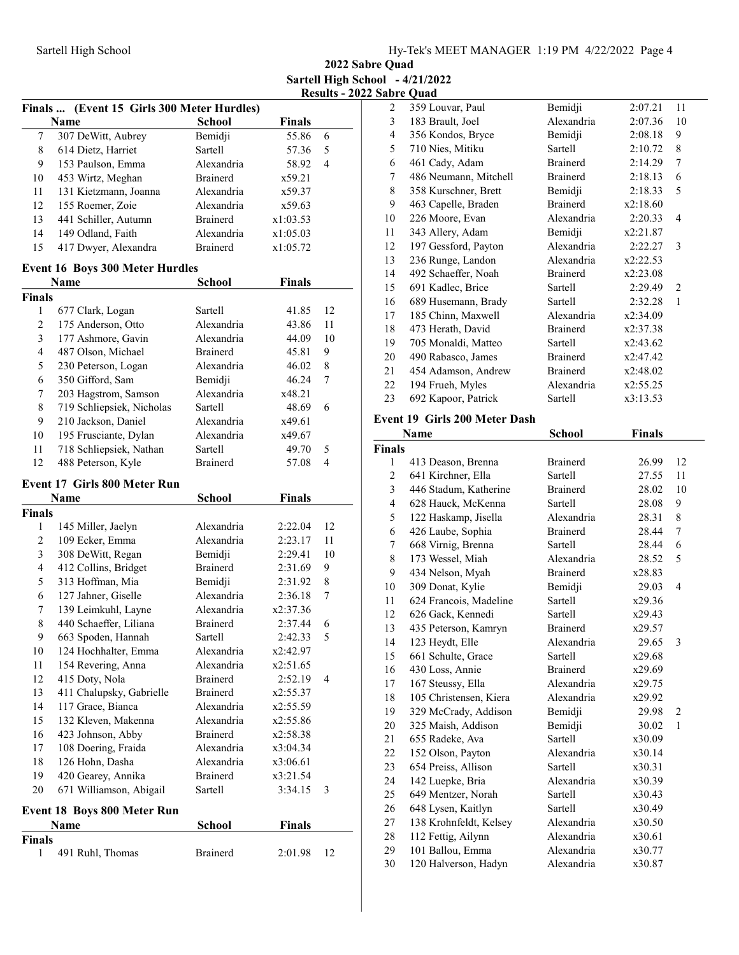2022 Sabre Quad Sartell High School - 4/21/2022 Results - 2022 Sabre Quad

|                  | Finals  (Event 15 Girls 300 Meter Hurdles) |                 |               |    |
|------------------|--------------------------------------------|-----------------|---------------|----|
|                  | Name                                       | <b>School</b>   | <b>Finals</b> |    |
| $\boldsymbol{7}$ | 307 DeWitt, Aubrey                         | Bemidji         | 55.86         | 6  |
| 8                | 614 Dietz, Harriet                         | Sartell         | 57.36         | 5  |
| 9                | 153 Paulson, Emma                          | Alexandria      | 58.92         | 4  |
| 10               | 453 Wirtz, Meghan                          | <b>Brainerd</b> | x59.21        |    |
| 11               | 131 Kietzmann, Joanna                      | Alexandria      | x59.37        |    |
| 12               | 155 Roemer, Zoie                           | Alexandria      | x59.63        |    |
| 13               | 441 Schiller, Autumn                       | <b>Brainerd</b> | x1:03.53      |    |
| 14               | 149 Odland, Faith                          | Alexandria      | x1:05.03      |    |
| 15               | 417 Dwyer, Alexandra                       | <b>Brainerd</b> | x1:05.72      |    |
|                  | <b>Event 16 Boys 300 Meter Hurdles</b>     |                 |               |    |
|                  | Name                                       | <b>School</b>   | <b>Finals</b> |    |
| <b>Finals</b>    |                                            |                 |               |    |
| 1                | 677 Clark, Logan                           | Sartell         | 41.85         | 12 |
| $\overline{c}$   | 175 Anderson, Otto                         | Alexandria      | 43.86         | 11 |
| 3                | 177 Ashmore, Gavin                         | Alexandria      | 44.09         | 10 |
| 4                | 487 Olson, Michael                         | <b>Brainerd</b> | 45.81         | 9  |
| 5                | 230 Peterson, Logan                        | Alexandria      | 46.02         | 8  |
| 6                | 350 Gifford, Sam                           | Bemidji         | 46.24         | 7  |
| 7                | 203 Hagstrom, Samson                       | Alexandria      | x48.21        |    |
| 8                | 719 Schliepsiek, Nicholas                  | Sartell         | 48.69         | 6  |
| 9                | 210 Jackson, Daniel                        | Alexandria      | x49.61        |    |
| 10               | 195 Frusciante, Dylan                      | Alexandria      | x49.67        |    |
| 11               | 718 Schliepsiek, Nathan                    | Sartell         | 49.70         | 5  |
| 12               | 488 Peterson, Kyle                         | <b>Brainerd</b> | 57.08         | 4  |
|                  | <b>Event 17 Girls 800 Meter Run</b>        |                 |               |    |
|                  | Name                                       | <b>School</b>   | <b>Finals</b> |    |
| <b>Finals</b>    |                                            |                 |               |    |
| 1                | 145 Miller, Jaelyn                         | Alexandria      | 2:22.04       | 12 |
| $\overline{c}$   | 109 Ecker, Emma                            | Alexandria      | 2:23.17       | 11 |
| 3                | 308 DeWitt, Regan                          | Bemidji         | 2:29.41       | 10 |
| 4                | 412 Collins, Bridget                       | <b>Brainerd</b> | 2:31.69       | 9  |
| 5                | 313 Hoffman, Mia                           | Bemidji         | 2:31.92       | 8  |
| 6                | 127 Jahner, Giselle                        | Alexandria      | 2:36.18       | 7  |
| 7                | 139 Leimkuhl, Layne                        | Alexandria      | x2:37.36      |    |
| 8                | 440 Schaeffer, Liliana                     | <b>Brainerd</b> | 2:37.44       | 6  |
| 9                | 663 Spoden, Hannah                         | Sartell         | 2:42.33       | 5  |
| 10               | 124 Hochhalter, Emma                       | Alexandria      | x2:42.97      |    |
| 11               | 154 Revering, Anna                         | Alexandria      | x2:51.65      |    |
| 12               | 415 Doty, Nola                             | Brainerd        | 2:52.19       | 4  |
| 13               | 411 Chalupsky, Gabrielle                   | Brainerd        | x2:55.37      |    |
| 14               | 117 Grace, Bianca                          | Alexandria      | x2:55.59      |    |
| 15               | 132 Kleven, Makenna                        | Alexandria      | x2:55.86      |    |
| 16               | 423 Johnson, Abby                          | <b>Brainerd</b> | x2:58.38      |    |
| 17               | 108 Doering, Fraida                        | Alexandria      | x3:04.34      |    |
| 18               | 126 Hohn, Dasha                            | Alexandria      | x3:06.61      |    |
| 19               | 420 Gearey, Annika                         | <b>Brainerd</b> | x3:21.54      |    |
| 20               | 671 Williamson, Abigail                    | Sartell         | 3:34.15       | 3  |
|                  | <b>Event 18 Boys 800 Meter Run</b>         |                 |               |    |
|                  | Name                                       | <b>School</b>   | <b>Finals</b> |    |
| Finals           |                                            |                 |               |    |
|                  |                                            |                 |               |    |
| 1                | 491 Ruhl, Thomas                           | <b>Brainerd</b> | 2:01.98       | 12 |

|    | <b>babre Quad</b>     |                 |          |                |
|----|-----------------------|-----------------|----------|----------------|
| 2  | 359 Louvar, Paul      | Bemidji         | 2:07.21  | 11             |
| 3  | 183 Brault, Joel      | Alexandria      | 2:07.36  | 10             |
| 4  | 356 Kondos, Bryce     | Bemidji         | 2:08.18  | 9              |
| 5  | 710 Nies, Mitiku      | Sartell         | 2:10.72  | 8              |
| 6  | 461 Cady, Adam        | <b>Brainerd</b> | 2:14.29  | 7              |
| 7  | 486 Neumann, Mitchell | <b>Brainerd</b> | 2:18.13  | 6              |
| 8  | 358 Kurschner, Brett  | Bemidji         | 2:18.33  | 5              |
| 9  | 463 Capelle, Braden   | <b>Brainerd</b> | x2:18.60 |                |
| 10 | 226 Moore, Evan       | Alexandria      | 2:20.33  | $\overline{4}$ |
| 11 | 343 Allery, Adam      | Bemidji         | x2:21.87 |                |
| 12 | 197 Gessford, Payton  | Alexandria      | 2:22.27  | 3              |
| 13 | 236 Runge, Landon     | Alexandria      | x2:22.53 |                |
| 14 | 492 Schaeffer, Noah   | <b>Brainerd</b> | x2:23.08 |                |
| 15 | 691 Kadlec, Brice     | Sartell         | 2:29.49  | $\overline{c}$ |
| 16 | 689 Husemann, Brady   | Sartell         | 2:32.28  | 1              |
| 17 | 185 Chinn, Maxwell    | Alexandria      | x2:34.09 |                |
| 18 | 473 Herath, David     | <b>Brainerd</b> | x2:37.38 |                |
| 19 | 705 Monaldi, Matteo   | Sartell         | x2:43.62 |                |
| 20 | 490 Rabasco, James    | <b>Brainerd</b> | x2:47.42 |                |
| 21 | 454 Adamson, Andrew   | <b>Brainerd</b> | x2:48.02 |                |
| 22 | 194 Frueh, Myles      | Alexandria      | x2:55.25 |                |
| 23 | 692 Kapoor, Patrick   | Sartell         | x3:13.53 |                |
|    |                       |                 |          |                |

## Event 19 Girls 200 Meter Dash

|                | Name                   | School          | <b>Finals</b> |                |
|----------------|------------------------|-----------------|---------------|----------------|
| <b>Finals</b>  |                        |                 |               |                |
| 1              | 413 Deason, Brenna     | <b>Brainerd</b> | 26.99         | 12             |
| 2              | 641 Kirchner, Ella     | Sartell         | 27.55         | 11             |
| 3              | 446 Stadum, Katherine  | <b>Brainerd</b> | 28.02         | 10             |
| $\overline{4}$ | 628 Hauck, McKenna     | Sartell         | 28.08         | 9              |
| 5              | 122 Haskamp, Jisella   | Alexandria      | 28.31         | 8              |
| 6              | 426 Laube, Sophia      | <b>Brainerd</b> | 28.44         | 7              |
| 7              | 668 Virnig, Brenna     | Sartell         | 28.44         | 6              |
| 8              | 173 Wessel, Miah       | Alexandria      | 28.52         | 5              |
| 9              | 434 Nelson, Myah       | <b>Brainerd</b> | x28.83        |                |
| 10             | 309 Donat, Kylie       | Bemidji         | 29.03         | $\overline{4}$ |
| 11             | 624 Francois, Madeline | Sartell         | x29.36        |                |
| 12             | 626 Gack, Kennedi      | <b>Sartell</b>  | x29.43        |                |
| 13             | 435 Peterson, Kamryn   | <b>Brainerd</b> | x29.57        |                |
| 14             | 123 Heydt, Elle        | Alexandria      | 29.65         | 3              |
| 15             | 661 Schulte, Grace     | Sartell         | x29.68        |                |
| 16             | 430 Loss, Annie        | <b>Brainerd</b> | x29.69        |                |
| 17             | 167 Steussy, Ella      | Alexandria      | x29.75        |                |
| 18             | 105 Christensen, Kiera | Alexandria      | x29.92        |                |
| 19             | 329 McCrady, Addison   | Bemidji         | 29.98         | $\overline{2}$ |
| 20             | 325 Maish, Addison     | Bemidji         | 30.02         | 1              |
| 21             | 655 Radeke, Ava        | Sartell         | x30.09        |                |
| 22             | 152 Olson, Payton      | Alexandria      | x30.14        |                |
| 23             | 654 Preiss, Allison    | <b>Sartell</b>  | x30.31        |                |
| 24             | 142 Luepke, Bria       | Alexandria      | x30.39        |                |
| 25             | 649 Mentzer, Norah     | Sartell         | x30.43        |                |
| 26             | 648 Lysen, Kaitlyn     | Sartell         | x30.49        |                |
| 27             | 138 Krohnfeldt, Kelsey | Alexandria      | x30.50        |                |
| 28             | 112 Fettig, Ailynn     | Alexandria      | x30.61        |                |
| 29             | 101 Ballou, Emma       | Alexandria      | x30.77        |                |
| 30             | 120 Halverson, Hadyn   | Alexandria      | x30.87        |                |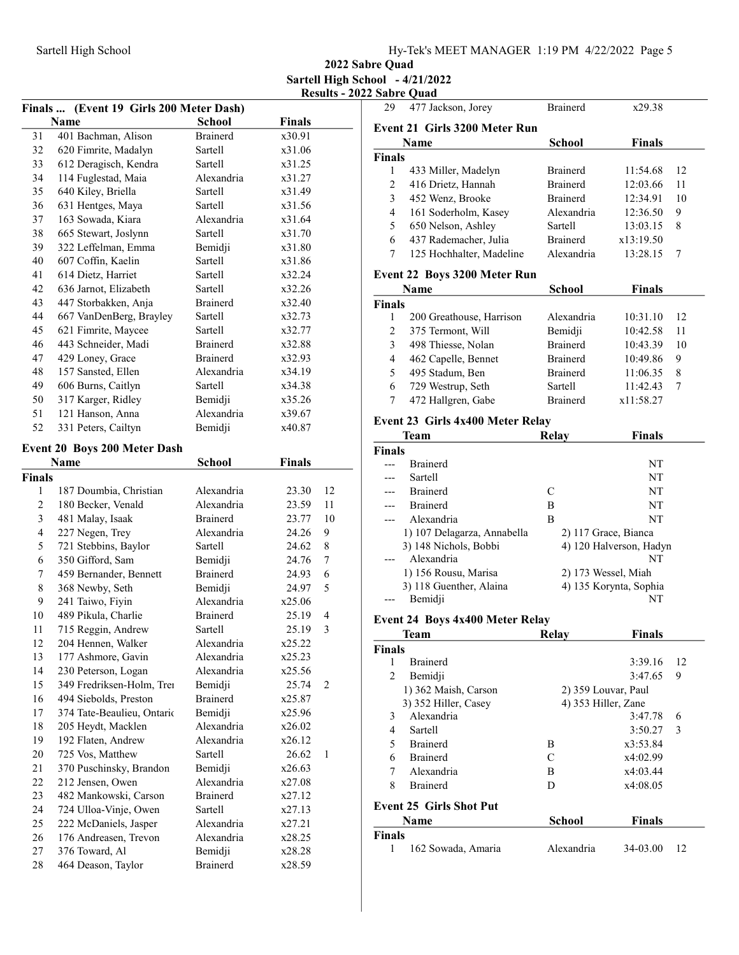2022 Sabre Quad Sartell High School - 4/21/2022 Results - 2022 Sabre Quad 29 x29.38 477 Jackson, Jorey Brainerd

| Finals  (Event 19 Girls 200 Meter Dash) |                                                     |                            |                 |        |
|-----------------------------------------|-----------------------------------------------------|----------------------------|-----------------|--------|
|                                         | Name                                                | <b>School</b>              | Finals          |        |
| 31                                      | 401 Bachman, Alison                                 | <b>Brainerd</b>            | x30.91          |        |
| 32                                      | 620 Fimrite, Madalyn                                | Sartell                    | x31.06          |        |
| 33                                      | 612 Deragisch, Kendra                               | Sartell                    | x31.25          |        |
| 34                                      | 114 Fuglestad, Maia                                 | Alexandria                 | x31.27          |        |
| 35                                      | 640 Kiley, Briella                                  | Sartell                    | x31.49          |        |
| 36                                      | 631 Hentges, Maya                                   | Sartell                    | x31.56          |        |
| 37                                      | 163 Sowada, Kiara                                   | Alexandria                 | x31.64          |        |
| 38                                      | 665 Stewart, Joslynn                                | Sartell                    | x31.70          |        |
| 39                                      | 322 Leffelman, Emma                                 | Bemidji                    | x31.80          |        |
| 40                                      | 607 Coffin, Kaelin                                  | Sartell                    | x31.86          |        |
| 41                                      | 614 Dietz, Harriet                                  | Sartell                    | x32.24          |        |
| 42                                      | 636 Jarnot, Elizabeth                               | Sartell                    | x32.26          |        |
| 43                                      | 447 Storbakken, Anja                                | Brainerd                   | x32.40          |        |
| 44                                      | 667 VanDenBerg, Brayley                             | Sartell                    | x32.73          |        |
| 45                                      | 621 Fimrite, Maycee                                 | Sartell                    | x32.77          |        |
| 46                                      | 443 Schneider, Madi                                 | Brainerd                   | x32.88          |        |
| 47                                      | 429 Loney, Grace                                    | <b>Brainerd</b>            | x32.93          |        |
| 48                                      | 157 Sansted, Ellen                                  | Alexandria                 | x34.19          |        |
| 49                                      | 606 Burns, Caitlyn                                  | Sartell                    | x34.38          |        |
| 50                                      | 317 Karger, Ridley                                  | Bemidji                    | x35.26          |        |
| 51                                      | 121 Hanson, Anna                                    | Alexandria                 | x39.67          |        |
| 52                                      | 331 Peters, Cailtyn                                 | Bemidji                    | x40.87          |        |
|                                         |                                                     |                            |                 |        |
|                                         | <b>Event 20 Boys 200 Meter Dash</b>                 |                            |                 |        |
|                                         | Name                                                | <b>School</b>              | <b>Finals</b>   |        |
| Finals                                  |                                                     |                            |                 |        |
| 1                                       | 187 Doumbia, Christian                              | Alexandria                 | 23.30           | 12     |
| $\mathfrak{2}$                          | 180 Becker, Venald                                  | Alexandria                 | 23.59           | 11     |
| 3                                       | 481 Malay, Isaak                                    | <b>Brainerd</b>            | 23.77           | 10     |
| 4<br>5                                  | 227 Negen, Trey                                     | Alexandria<br>Sartell      | 24.26           | 9      |
|                                         | 721 Stebbins, Baylor                                |                            | 24.62           | 8      |
| 6<br>7                                  | 350 Gifford, Sam                                    | Bemidji<br>Brainerd        | 24.76           | 7<br>6 |
| $\,$ $\,$                               | 459 Bernander, Bennett<br>368 Newby, Seth           |                            | 24.93           | 5      |
| 9                                       |                                                     | Bemidji<br>Alexandria      | 24.97           |        |
|                                         | 241 Taiwo, Fiyin<br>489 Pikula, Charlie             |                            | x25.06          |        |
| 10                                      |                                                     | <b>Brainerd</b><br>Sartell | 25.19           | 4<br>3 |
| 11                                      | 715 Reggin, Andrew                                  |                            | 25.19           |        |
| 12<br>13                                | 204 Hennen, Walker                                  | Alexandria<br>Alexandria   | x25.22          |        |
| 14                                      | 177 Ashmore, Gavin<br>230 Peterson, Logan           | Alexandria                 | x25.23          |        |
| 15                                      | 349 Fredriksen-Holm, Trei                           |                            | x25.56          | 2      |
| 16                                      |                                                     | Bemidji<br>Brainerd        | 25.74<br>x25.87 |        |
| 17                                      | 494 Siebolds, Preston<br>374 Tate-Beaulieu, Ontario | Bemidji                    | x25.96          |        |
|                                         |                                                     |                            |                 |        |
| 18                                      | 205 Heydt, Macklen<br>192 Flaten, Andrew            | Alexandria<br>Alexandria   | x26.02          |        |
| 19<br>20                                |                                                     | Sartell                    | x26.12<br>26.62 |        |
|                                         | 725 Vos, Matthew                                    |                            |                 | 1      |
| 21                                      | 370 Puschinsky, Brandon                             | Bemidji                    | x26.63          |        |
| 22                                      | 212 Jensen, Owen                                    | Alexandria                 | x27.08          |        |
| 23                                      | 482 Mankowski, Carson                               | <b>Brainerd</b>            | x27.12          |        |
| 24<br>25                                | 724 Ulloa-Vinje, Owen                               | Sartell<br>Alexandria      | x27.13          |        |
|                                         | 222 McDaniels, Jasper                               | Alexandria                 | x27.21          |        |
| 26                                      | 176 Andreasen, Trevon                               |                            | x28.25          |        |
| 27                                      | 376 Toward, Al                                      | Bemidji                    | x28.28          |        |
| 28                                      | 464 Deason, Taylor                                  | Brainerd                   | x28.59          |        |

| <b>Event 21 Girls 3200 Meter Run</b> |                                        |                      |                         |    |
|--------------------------------------|----------------------------------------|----------------------|-------------------------|----|
|                                      | Name                                   | <b>School</b>        | <b>Finals</b>           |    |
| <b>Finals</b>                        |                                        |                      |                         |    |
| 1                                    | 433 Miller, Madelyn                    | <b>Brainerd</b>      | 11:54.68                | 12 |
| 2                                    | 416 Drietz, Hannah                     | <b>Brainerd</b>      | 12:03.66                | 11 |
| 3                                    | 452 Wenz, Brooke                       | <b>Brainerd</b>      | 12:34.91                | 10 |
| 4                                    | 161 Soderholm, Kasey                   | Alexandria           | 12:36.50                | 9  |
| 5                                    | 650 Nelson, Ashley                     | Sartell              | 13:03.15                | 8  |
| 6                                    | 437 Rademacher, Julia                  | <b>Brainerd</b>      | x13:19.50               |    |
| 7                                    | 125 Hochhalter, Madeline               | Alexandria           | 13:28.15                | 7  |
|                                      | Event 22 Boys 3200 Meter Run           |                      |                         |    |
|                                      | Name                                   | <b>School</b>        | <b>Finals</b>           |    |
| <b>Finals</b>                        |                                        |                      |                         |    |
| 1                                    | 200 Greathouse, Harrison               | Alexandria           | 10:31.10                | 12 |
| $\overline{2}$                       | 375 Termont, Will                      | Bemidji              | 10:42.58                | 11 |
| 3                                    | 498 Thiesse, Nolan                     | <b>Brainerd</b>      | 10:43.39                | 10 |
| 4                                    | 462 Capelle, Bennet                    | <b>Brainerd</b>      | 10:49.86                | 9  |
| 5                                    | 495 Stadum, Ben                        | <b>Brainerd</b>      | 11:06.35                | 8  |
| 6                                    | 729 Westrup, Seth                      | Sartell              | 11:42.43                | 7  |
| 7                                    | 472 Hallgren, Gabe                     | <b>Brainerd</b>      | x11:58.27               |    |
|                                      | Event 23 Girls 4x400 Meter Relay       |                      |                         |    |
|                                      | Team                                   | <b>Relay</b>         | <b>Finals</b>           |    |
| <b>Finals</b>                        |                                        |                      |                         |    |
| ---                                  | <b>Brainerd</b>                        |                      | NΤ                      |    |
| ---                                  | Sartell                                |                      | NT                      |    |
|                                      | <b>Brainerd</b>                        | C                    | NΤ                      |    |
|                                      | <b>Brainerd</b>                        | B                    | NT                      |    |
| $---$                                | Alexandria                             | B                    | NT                      |    |
|                                      | 1) 107 Delagarza, Annabella            | 2) 117 Grace, Bianca |                         |    |
|                                      | 3) 148 Nichols, Bobbi                  |                      | 4) 120 Halverson, Hadyn |    |
| ---                                  | Alexandria                             |                      | NT                      |    |
|                                      | 1) 156 Rousu, Marisa                   | 2) 173 Wessel, Miah  |                         |    |
|                                      | 3) 118 Guenther, Alaina                |                      | 4) 135 Korynta, Sophia  |    |
|                                      | Bemidji                                |                      | NT                      |    |
|                                      | <b>Event 24 Boys 4x400 Meter Relay</b> |                      |                         |    |
|                                      | Team                                   | Relay                | Finals                  |    |
| Finals                               |                                        |                      |                         |    |
| 1                                    | <b>Brainerd</b>                        |                      | 3:39.16                 | 12 |
| $\overline{c}$                       | Bemidji                                |                      | 3:47.65                 | 9  |
|                                      | 1) 362 Maish, Carson                   | 2) 359 Louvar, Paul  |                         |    |
|                                      | 3) 352 Hiller, Casey                   | 4) 353 Hiller, Zane  |                         |    |
| 3                                    | Alexandria                             |                      | 3:47.78                 | 6  |
| 4                                    | Sartell                                |                      | 3:50.27                 | 3  |
| 5                                    | <b>Brainerd</b>                        | B                    | x3:53.84                |    |
| 6                                    | <b>Brainerd</b>                        | $\mathsf{C}$         | x4:02.99                |    |
| 7                                    | Alexandria                             | В                    | x4:03.44                |    |
| 8                                    | <b>Brainerd</b>                        | D                    | x4:08.05                |    |
|                                      | <b>Event 25 Girls Shot Put</b>         |                      |                         |    |
|                                      | Name                                   | <b>School</b>        | <b>Finals</b>           |    |
| <b>Finals</b><br>1                   | 162 Sowada, Amaria                     | Alexandria           | 34-03.00                | 12 |
|                                      |                                        |                      |                         |    |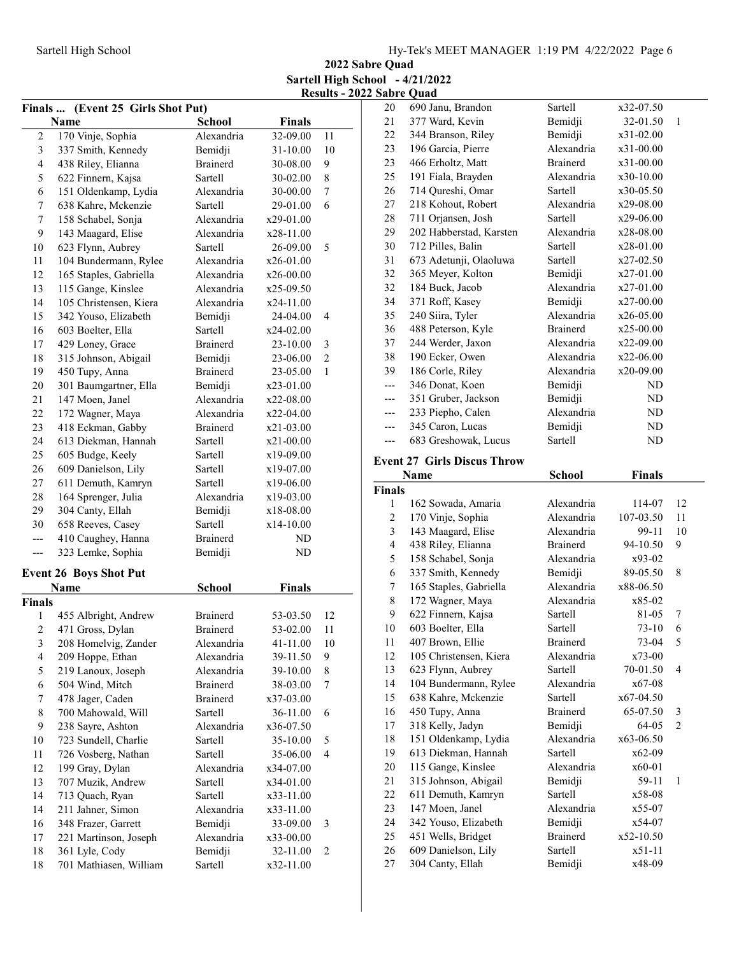2022 Sabre Quad Sartell High School - 4/21/2022 Results - 2022 Sabre Quad

|                         | Finals  (Event 25 Girls Shot Put)       |                    |               |    |
|-------------------------|-----------------------------------------|--------------------|---------------|----|
|                         | Name                                    | <b>School</b>      | <b>Finals</b> |    |
| $\sqrt{2}$              | 170 Vinje, Sophia                       | Alexandria         | 32-09.00      | 11 |
| 3                       | 337 Smith, Kennedy                      | Bemidji            | 31-10.00      | 10 |
| $\overline{\mathbf{4}}$ | 438 Riley, Elianna                      | <b>Brainerd</b>    | 30-08.00      | 9  |
| 5                       | 622 Finnern, Kajsa                      | Sartell            | 30-02.00      | 8  |
| 6                       | 151 Oldenkamp, Lydia                    | Alexandria         | 30-00.00      | 7  |
| 7                       | 638 Kahre, Mckenzie                     | Sartell            | 29-01.00      | 6  |
| $\boldsymbol{7}$        | 158 Schabel, Sonja                      | Alexandria         | x29-01.00     |    |
| 9                       | 143 Maagard, Elise                      | Alexandria         | x28-11.00     |    |
| 10                      | 623 Flynn, Aubrey                       | Sartell            | 26-09.00      | 5  |
| 11                      | 104 Bundermann, Rylee                   | Alexandria         | $x26-01.00$   |    |
| 12                      | 165 Staples, Gabriella                  | Alexandria         | x26-00.00     |    |
| 13                      | 115 Gange, Kinslee                      | Alexandria         | x25-09.50     |    |
| 14                      | 105 Christensen, Kiera                  | Alexandria         | x24-11.00     |    |
| 15                      | 342 Youso, Elizabeth                    | Bemidji            | 24-04.00      | 4  |
| 16                      | 603 Boelter, Ella                       | Sartell            | x24-02.00     |    |
| 17                      | 429 Loney, Grace                        | <b>Brainerd</b>    | 23-10.00      | 3  |
| 18                      | 315 Johnson, Abigail                    | Bemidji            | 23-06.00      | 2  |
| 19                      | 450 Tupy, Anna                          | <b>Brainerd</b>    | 23-05.00      | 1  |
| 20                      | 301 Baumgartner, Ella                   | Bemidji            | x23-01.00     |    |
| 21                      | 147 Moen, Janel                         | Alexandria         | x22-08.00     |    |
| 22                      | 172 Wagner, Maya                        | Alexandria         | x22-04.00     |    |
| 23                      | 418 Eckman, Gabby                       | <b>Brainerd</b>    | x21-03.00     |    |
| 24                      | 613 Diekman, Hannah                     | Sartell            | x21-00.00     |    |
| 25                      | 605 Budge, Keely                        | Sartell            | x19-09.00     |    |
| 26                      | 609 Danielson, Lily                     | Sartell            | x19-07.00     |    |
| 27                      | 611 Demuth, Kamryn                      | Sartell            | x19-06.00     |    |
| 28                      |                                         | Alexandria         | x19-03.00     |    |
| 29                      | 164 Sprenger, Julia<br>304 Canty, Ellah |                    | x18-08.00     |    |
| 30                      |                                         | Bemidji<br>Sartell |               |    |
|                         | 658 Reeves, Casey                       | Brainerd           | x14-10.00     |    |
| ---                     | 410 Caughey, Hanna<br>323 Lemke, Sophia | Bemidji            | ND<br>ND      |    |
| ---                     |                                         |                    |               |    |
|                         | <b>Event 26 Boys Shot Put</b>           |                    |               |    |
|                         | Name                                    | School             | <b>Finals</b> |    |
| <b>Finals</b>           |                                         |                    |               |    |
| 1                       | 455 Albright, Andrew                    | <b>Brainerd</b>    | 53-03.50      | 12 |
| $\overline{c}$          | 471 Gross, Dylan                        | <b>Brainerd</b>    | 53-02.00      | 11 |
| 3                       | 208 Homelvig, Zander                    | Alexandria         | 41-11.00      | 10 |
| 4                       | 209 Hoppe, Ethan                        | Alexandria         | 39-11.50      | 9  |
| 5                       | 219 Lanoux, Joseph                      | Alexandria         | 39-10.00      | 8  |
| 6                       | 504 Wind, Mitch                         | <b>Brainerd</b>    | 38-03.00      | 7  |
| 7                       | 478 Jager, Caden                        | <b>Brainerd</b>    | x37-03.00     |    |
| 8                       | 700 Mahowald, Will                      | Sartell            | 36-11.00      | 6  |
| 9                       | 238 Sayre, Ashton                       | Alexandria         | x36-07.50     |    |
| 10                      | 723 Sundell, Charlie                    | Sartell            | 35-10.00      | 5  |
| 11                      | 726 Vosberg, Nathan                     | Sartell            | 35-06.00      | 4  |
| 12                      | 199 Gray, Dylan                         | Alexandria         | x34-07.00     |    |
| 13                      | 707 Muzik, Andrew                       | Sartell            | x34-01.00     |    |
| 14                      | 713 Quach, Ryan                         | Sartell            | x33-11.00     |    |
| 14                      | 211 Jahner, Simon                       | Alexandria         | x33-11.00     |    |
| 16                      | 348 Frazer, Garrett                     | Bemidji            | 33-09.00      | 3  |
| 17                      | 221 Martinson, Joseph                   | Alexandria         | x33-00.00     |    |
| 18                      | 361 Lyle, Cody                          | Bemidji            | 32-11.00      | 2  |
| 18                      | 701 Mathiasen, William                  | Sartell            | x32-11.00     |    |
|                         |                                         |                    |               |    |

| 20                  | 690 Janu, Brandon                       | Sartell            | x32-07.50          |                |
|---------------------|-----------------------------------------|--------------------|--------------------|----------------|
| 21                  | 377 Ward, Kevin                         | Bemidji            | 32-01.50           | 1              |
| 22                  | 344 Branson, Riley                      | Bemidji            | $x31-02.00$        |                |
| 23                  | 196 Garcia, Pierre                      | Alexandria         | x31-00.00          |                |
| 23                  | 466 Erholtz, Matt                       | <b>Brainerd</b>    | x31-00.00          |                |
| 25                  | 191 Fiala, Brayden                      | Alexandria         | x30-10.00          |                |
| 26                  | 714 Qureshi, Omar                       | Sartell            | x30-05.50          |                |
| 27                  | 218 Kohout, Robert                      | Alexandria         | x29-08.00          |                |
| 28                  | 711 Orjansen, Josh                      | Sartell            | x29-06.00          |                |
| 29                  | 202 Habberstad, Karsten                 | Alexandria         | x28-08.00          |                |
| 30                  | 712 Pilles, Balin                       | Sartell            | x28-01.00          |                |
| 31                  | 673 Adetunji, Olaoluwa                  | Sartell            | x27-02.50          |                |
| 32                  | 365 Meyer, Kolton                       | Bemidji            | x27-01.00          |                |
| 32                  | 184 Buck, Jacob                         | Alexandria         | x27-01.00          |                |
| 34                  | 371 Roff, Kasey                         | Bemidji            |                    |                |
|                     |                                         | Alexandria         | x27-00.00          |                |
| 35<br>36            | 240 Siira, Tyler                        | <b>Brainerd</b>    | x26-05.00          |                |
|                     | 488 Peterson, Kyle                      |                    | x25-00.00          |                |
| 37                  | 244 Werder, Jaxon                       | Alexandria         | x22-09.00          |                |
| 38                  | 190 Ecker, Owen                         | Alexandria         | x22-06.00          |                |
| 39                  | 186 Corle, Riley                        | Alexandria         | x20-09.00          |                |
| $---$               | 346 Donat, Koen                         | Bemidji            | ND                 |                |
| ---                 | 351 Gruber, Jackson                     | Bemidji            | ND                 |                |
| ---                 | 233 Piepho, Calen                       | Alexandria         | ND                 |                |
| ---                 | 345 Caron, Lucas                        | Bemidji            | ND                 |                |
| ---                 | 683 Greshowak, Lucus                    | Sartell            | ND                 |                |
|                     | <b>Event 27 Girls Discus Throw</b>      |                    |                    |                |
|                     | <b>Name</b>                             | <b>School</b>      | <b>Finals</b>      |                |
|                     |                                         |                    |                    |                |
|                     |                                         |                    |                    |                |
| <b>Finals</b><br>1  |                                         | Alexandria         | 114-07             | 12             |
| $\overline{c}$      | 162 Sowada, Amaria                      | Alexandria         | 107-03.50          | 11             |
|                     | 170 Vinje, Sophia                       | Alexandria         |                    | 10             |
| $\mathfrak{Z}$<br>4 | 143 Maagard, Elise                      | <b>Brainerd</b>    | 99-11              | 9              |
|                     | 438 Riley, Elianna                      | Alexandria         | 94-10.50           |                |
| 5                   | 158 Schabel, Sonja                      |                    | x93-02             |                |
| 6                   | 337 Smith, Kennedy                      | Bemidji            | 89-05.50           | 8              |
| 7                   | 165 Staples, Gabriella                  | Alexandria         | x88-06.50          |                |
| 8                   | 172 Wagner, Maya                        | Alexandria         | x85-02             |                |
| 9                   | 622 Finnern, Kajsa                      | Sartell<br>Sartell | 81-05              | 7              |
| 10                  | 603 Boelter, Ella                       |                    | $73 - 10$          | 6              |
| 11                  | 407 Brown, Ellie                        | <b>Brainerd</b>    | 73-04              | 5              |
| 12                  | 105 Christensen, Kiera                  | Alexandria         | x73-00             |                |
| 13                  | 623 Flynn, Aubrey                       | Sartell            | 70-01.50           | $\overline{4}$ |
| 14                  | 104 Bundermann, Rylee                   | Alexandria         | x67-08             |                |
| 15                  | 638 Kahre, Mckenzie                     | Sartell            | x67-04.50          |                |
| 16                  | 450 Tupy, Anna                          | <b>Brainerd</b>    | 65-07.50           | 3              |
| 17                  | 318 Kelly, Jadyn                        | Bemidji            | 64-05              | $\overline{2}$ |
| 18                  | 151 Oldenkamp, Lydia                    | Alexandria         | x63-06.50          |                |
| 19                  | 613 Diekman, Hannah                     | Sartell            | x62-09             |                |
| 20                  | 115 Gange, Kinslee                      | Alexandria         | x60-01             |                |
| 21                  | 315 Johnson, Abigail                    | Bemidji            | 59-11              | 1              |
| 22                  | 611 Demuth, Kamryn                      | Sartell            | x58-08             |                |
| 23                  | 147 Moen, Janel                         | Alexandria         | x55-07             |                |
| 24                  | 342 Youso, Elizabeth                    | Bemidji            | x54-07             |                |
| 25                  | 451 Wells, Bridget                      | <b>Brainerd</b>    | x52-10.50          |                |
| 26<br>27            | 609 Danielson, Lily<br>304 Canty, Ellah | Sartell<br>Bemidji | $x51-11$<br>x48-09 |                |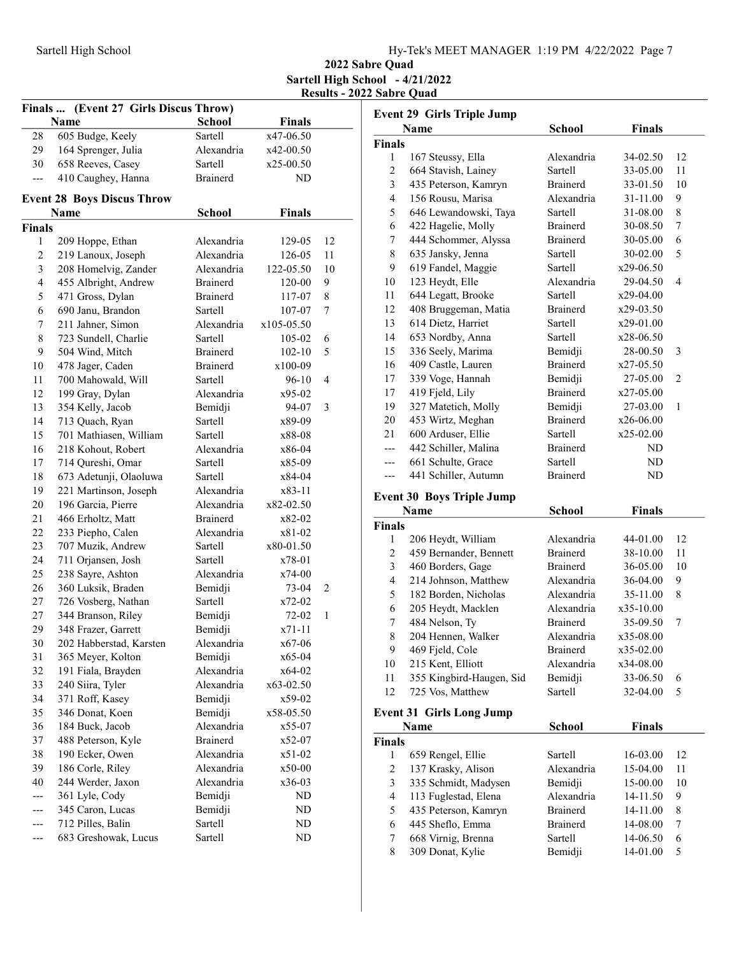2022 Sabre Quad Sartell High School - 4/21/2022 Results - 2022 Sabre Quad

| Finals  (Event 27 Girls Discus Throw) |                                   |                 |               |    |
|---------------------------------------|-----------------------------------|-----------------|---------------|----|
|                                       | Name                              | <b>School</b>   | <b>Finals</b> |    |
| 28                                    | 605 Budge, Keely                  | Sartell         | x47-06.50     |    |
| 29                                    | 164 Sprenger, Julia               | Alexandria      | x42-00.50     |    |
| 30                                    | 658 Reeves, Casey                 | Sartell         | x25-00.50     |    |
| ---                                   | 410 Caughey, Hanna                | <b>Brainerd</b> | ND            |    |
|                                       | <b>Event 28 Boys Discus Throw</b> |                 |               |    |
|                                       | Name                              | School          | <b>Finals</b> |    |
| <b>Finals</b>                         |                                   |                 |               |    |
| 1                                     | 209 Hoppe, Ethan                  | Alexandria      | 129-05        | 12 |
| 2                                     | 219 Lanoux, Joseph                | Alexandria      | 126-05        | 11 |
| 3                                     | 208 Homelvig, Zander              | Alexandria      | 122-05.50     | 10 |
| $\overline{4}$                        | 455 Albright, Andrew              | <b>Brainerd</b> | 120-00        | 9  |
| 5                                     | 471 Gross, Dylan                  | <b>Brainerd</b> | 117-07        | 8  |
| 6                                     | 690 Janu, Brandon                 | Sartell         | 107-07        | 7  |
| 7                                     | 211 Jahner, Simon                 | Alexandria      | x105-05.50    |    |
| 8                                     | 723 Sundell, Charlie              | Sartell         | 105-02        | 6  |
| 9                                     | 504 Wind, Mitch                   | <b>Brainerd</b> | $102 - 10$    | 5  |
| 10                                    | 478 Jager, Caden                  | <b>Brainerd</b> | x100-09       |    |
| 11                                    | 700 Mahowald, Will                | <b>Sartell</b>  | 96-10         | 4  |
| 12                                    | 199 Gray, Dylan                   | Alexandria      | x95-02        |    |
| 13                                    | 354 Kelly, Jacob                  | Bemidji         | 94-07         | 3  |
| 14                                    | 713 Quach, Ryan                   | Sartell         | x89-09        |    |
| 15                                    | 701 Mathiasen, William            | Sartell         | x88-08        |    |
| 16                                    | 218 Kohout, Robert                | Alexandria      | x86-04        |    |
| 17                                    | 714 Qureshi, Omar                 | Sartell         | x85-09        |    |
| 18                                    | 673 Adetunji, Olaoluwa            | Sartell         | x84-04        |    |
| 19                                    | 221 Martinson, Joseph             | Alexandria      | x83-11        |    |
| 20                                    | 196 Garcia, Pierre                | Alexandria      | x82-02.50     |    |
| 21                                    | 466 Erholtz, Matt                 | <b>Brainerd</b> | x82-02        |    |
| 22                                    | 233 Piepho, Calen                 | Alexandria      | x81-02        |    |
| 23                                    | 707 Muzik, Andrew                 | Sartell         | x80-01.50     |    |
| 24                                    | 711 Orjansen, Josh                | Sartell         | x78-01        |    |
| 25                                    | 238 Sayre, Ashton                 | Alexandria      | x74-00        |    |
| 26                                    | 360 Luksik, Braden                | Bemidji         | 73-04         | 2  |
| 27                                    | 726 Vosberg, Nathan               | Sartell         | x72-02        |    |
| 27                                    | 344 Branson, Riley                | Bemidji         | 72-02         | 1  |
| 29                                    | 348 Frazer, Garrett               | Bemidji         | $x71 - 11$    |    |
| 30                                    | 202 Habberstad, Karsten           | Alexandria      | x67-06        |    |
| 31                                    | 365 Meyer, Kolton                 | Bemidji         | x65-04        |    |
| 32                                    | 191 Fiala, Brayden                | Alexandria      | x64-02        |    |
| 33                                    | 240 Siira, Tyler                  | Alexandria      | x63-02.50     |    |
| 34                                    | 371 Roff, Kasey                   | Bemidji         | x59-02        |    |
| 35                                    | 346 Donat, Koen                   | Bemidji         | x58-05.50     |    |
| 36                                    | 184 Buck, Jacob                   | Alexandria      | x55-07        |    |
| 37                                    | 488 Peterson, Kyle                | <b>Brainerd</b> | x52-07        |    |
| 38                                    | 190 Ecker, Owen                   | Alexandria      | x51-02        |    |
| 39                                    | 186 Corle, Riley                  | Alexandria      | x50-00        |    |
| 40                                    | 244 Werder, Jaxon                 | Alexandria      | x36-03        |    |
|                                       | 361 Lyle, Cody                    | Bemidji         | ND            |    |
|                                       | 345 Caron, Lucas                  | Bemidji         | ND            |    |
|                                       | 712 Pilles, Balin                 | Sartell         | ND            |    |
|                                       | 683 Greshowak, Lucus              | Sartell         | ND            |    |

|                         | <b>Event 29 Girls Triple Jump</b> |                 |               |                |
|-------------------------|-----------------------------------|-----------------|---------------|----------------|
|                         | <b>Name</b>                       | <b>School</b>   | <b>Finals</b> |                |
| <b>Finals</b>           |                                   |                 |               |                |
| 1                       | 167 Steussy, Ella                 | Alexandria      | 34-02.50      | 12             |
| $\overline{c}$          | 664 Stavish, Lainey               | <b>Sartell</b>  | 33-05.00      | 11             |
| 3                       | 435 Peterson, Kamryn              | <b>Brainerd</b> | 33-01.50      | 10             |
| $\overline{\mathbf{4}}$ | 156 Rousu, Marisa                 | Alexandria      | 31-11.00      | 9              |
| 5                       | 646 Lewandowski, Taya             | Sartell         | 31-08.00      | 8              |
| 6                       | 422 Hagelie, Molly                | <b>Brainerd</b> | 30-08.50      | 7              |
| 7                       | 444 Schommer, Alyssa              | <b>Brainerd</b> | 30-05.00      | 6              |
| 8                       | 635 Jansky, Jenna                 | Sartell         | 30-02.00      | 5              |
| 9                       | 619 Fandel, Maggie                | Sartell         | x29-06.50     |                |
| 10                      | 123 Heydt, Elle                   | Alexandria      | 29-04.50      | $\overline{4}$ |
| 11                      | 644 Legatt, Brooke                | Sartell         | x29-04.00     |                |
| 12                      | 408 Bruggeman, Matia              | <b>Brainerd</b> | x29-03.50     |                |
| 13                      | 614 Dietz, Harriet                | Sartell         | x29-01.00     |                |
| 14                      | 653 Nordby, Anna                  | Sartell         | x28-06.50     |                |
| 15                      | 336 Seely, Marima                 | Bemidji         | 28-00.50      | 3              |
| 16                      | 409 Castle, Lauren                | <b>Brainerd</b> | x27-05.50     |                |
| 17                      | 339 Voge, Hannah                  | Bemidji         | 27-05.00      | 2              |
| 17                      | 419 Fjeld, Lily                   | <b>Brainerd</b> | x27-05.00     |                |
| 19                      | 327 Matetich, Molly               | Bemidji         | 27-03.00      | $\mathbf{1}$   |
| 20                      | 453 Wirtz, Meghan                 | <b>Brainerd</b> | x26-06.00     |                |
| 21                      | 600 Arduser, Ellie                | Sartell         | x25-02.00     |                |
| ---                     | 442 Schiller, Malina              | <b>Brainerd</b> | ND            |                |
| ---                     | 661 Schulte, Grace                | Sartell         | ND            |                |
| ---                     | 441 Schiller, Autumn              | <b>Brainerd</b> | ND            |                |
|                         | <b>Event 30 Boys Triple Jump</b>  |                 |               |                |
|                         | Name                              | <b>School</b>   | <b>Finals</b> |                |
| <b>Finals</b>           |                                   |                 |               |                |
| 1                       | 206 Heydt, William                | Alexandria      | 44-01.00      | 12             |
| 2                       | 459 Bernander, Bennett            | <b>Brainerd</b> | 38-10.00      | 11             |
| 3                       | 460 Borders, Gage                 | <b>Brainerd</b> | 36-05.00      | 10             |
| 4                       | 214 Johnson, Matthew              | Alexandria      | 36-04.00      | 9              |
| 5                       | 182 Borden, Nicholas              | Alexandria      | 35-11.00      | 8              |
| 6                       | 205 Heydt, Macklen                | Alexandria      | x35-10.00     |                |
| 7                       | 484 Nelson, Ty                    | <b>Brainerd</b> | 35-09.50      | 7              |
| $\mathbf{Q}$            | 204 Hennen, Walker                | Alexandria      | x35-08.00     |                |

| $\circ$       | 204 richich, walkel             | Ансханцыа       | 833-06.00     |    |
|---------------|---------------------------------|-----------------|---------------|----|
| 9             | 469 Fjeld, Cole                 | <b>Brainerd</b> | x35-02.00     |    |
| 10            | 215 Kent, Elliott               | Alexandria      | x34-08.00     |    |
| 11            | 355 Kingbird-Haugen, Sid        | Bemidji         | 33-06.50      | 6  |
| 12            | 725 Vos, Matthew                | Sartell         | $32 - 04.00$  | 5  |
|               | <b>Event 31 Girls Long Jump</b> |                 |               |    |
|               | Name                            | <b>School</b>   | <b>Finals</b> |    |
| <b>Finals</b> |                                 |                 |               |    |
| 1             | 659 Rengel, Ellie               | Sartell         | 16-03.00      | 12 |
| 2             | 137 Krasky, Alison              | Alexandria      | 15-04.00      | 11 |
| 3             | 335 Schmidt, Madysen            | Bemidji         | 15-00.00      | 10 |
| 4             | 113 Fuglestad, Elena            | Alexandria      | 14-11.50      | 9  |
| 5             | 435 Peterson, Kamryn            | Brainerd        | 14-11.00      | 8  |
| 6             | 445 Sheflo, Emma                | Brainerd        | 14-08.00      | 7  |
| 7             | 668 Virnig, Brenna              | Sartell         | 14-06.50      | 6  |
| 8             | 309 Donat, Kylie                | Bemidji         | 14-01.00      | 5  |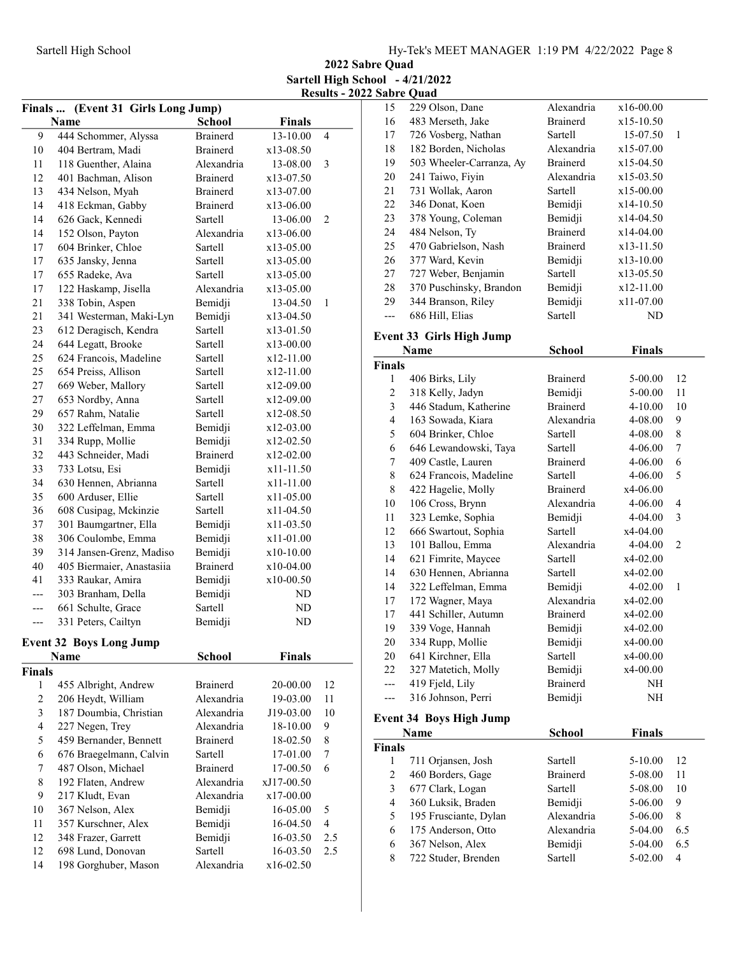2022 Sabre Quad Sartell High School - 4/21/2022 Results - 2022 Sabre Quad

| (Event 31 Girls Long Jump)<br>Finals |                                |                 |               |                |  |  |  |
|--------------------------------------|--------------------------------|-----------------|---------------|----------------|--|--|--|
|                                      | Name                           | <b>School</b>   | <b>Finals</b> |                |  |  |  |
| 9                                    | 444 Schommer, Alyssa           | <b>Brainerd</b> | 13-10.00      | 4              |  |  |  |
| 10                                   | 404 Bertram, Madi              | <b>Brainerd</b> | x13-08.50     |                |  |  |  |
| 11                                   | 118 Guenther, Alaina           | Alexandria      | 13-08.00      | 3              |  |  |  |
| 12                                   | 401 Bachman, Alison            | Brainerd        | x13-07.50     |                |  |  |  |
| 13                                   | 434 Nelson, Myah               | <b>Brainerd</b> | x13-07.00     |                |  |  |  |
| 14                                   | 418 Eckman, Gabby              | Brainerd        | x13-06.00     |                |  |  |  |
| 14                                   | 626 Gack, Kennedi              | Sartell         | 13-06.00      | 2              |  |  |  |
| 14                                   | 152 Olson, Payton              | Alexandria      | x13-06.00     |                |  |  |  |
| 17                                   | 604 Brinker, Chloe             | Sartell         | x13-05.00     |                |  |  |  |
| 17                                   | 635 Jansky, Jenna              | Sartell         | x13-05.00     |                |  |  |  |
| 17                                   | 655 Radeke, Ava                | Sartell         | $x13-05.00$   |                |  |  |  |
| 17                                   | 122 Haskamp, Jisella           | Alexandria      | x13-05.00     |                |  |  |  |
| 21                                   | 338 Tobin, Aspen               | Bemidji         | 13-04.50      | 1              |  |  |  |
| 21                                   | 341 Westerman, Maki-Lyn        | Bemidji         | x13-04.50     |                |  |  |  |
| 23                                   | 612 Deragisch, Kendra          | Sartell         | x13-01.50     |                |  |  |  |
| 24                                   | 644 Legatt, Brooke             | Sartell         | x13-00.00     |                |  |  |  |
| 25                                   | 624 Francois, Madeline         | Sartell         | x12-11.00     |                |  |  |  |
| 25                                   | 654 Preiss, Allison            | Sartell         | x12-11.00     |                |  |  |  |
| 27                                   | 669 Weber, Mallory             | Sartell         | x12-09.00     |                |  |  |  |
| 27                                   | 653 Nordby, Anna               | Sartell         | x12-09.00     |                |  |  |  |
| 29                                   | 657 Rahm, Natalie              | Sartell         | x12-08.50     |                |  |  |  |
| 30                                   | 322 Leffelman, Emma            | Bemidji         | x12-03.00     |                |  |  |  |
| 31                                   | 334 Rupp, Mollie               | Bemidji         | x12-02.50     |                |  |  |  |
| 32                                   | 443 Schneider, Madi            | Brainerd        | x12-02.00     |                |  |  |  |
| 33                                   | 733 Lotsu, Esi                 | Bemidji         | x11-11.50     |                |  |  |  |
| 34                                   | 630 Hennen, Abrianna           | Sartell         | x11-11.00     |                |  |  |  |
| 35                                   | 600 Arduser, Ellie             | Sartell         | $x11-05.00$   |                |  |  |  |
| 36                                   | 608 Cusipag, Mckinzie          | Sartell         | x11-04.50     |                |  |  |  |
| 37                                   | 301 Baumgartner, Ella          | Bemidji         | x11-03.50     |                |  |  |  |
| 38                                   | 306 Coulombe, Emma             | Bemidji         | x11-01.00     |                |  |  |  |
| 39                                   | 314 Jansen-Grenz, Madiso       | Bemidji         | x10-10.00     |                |  |  |  |
| 40                                   | 405 Biermaier, Anastasiia      | <b>Brainerd</b> | x10-04.00     |                |  |  |  |
| 41                                   | 333 Raukar, Amira              | Bemidji         | x10-00.50     |                |  |  |  |
|                                      | 303 Branham, Della             | Bemidji         | ND            |                |  |  |  |
| ---                                  | 661 Schulte, Grace             | Sartell         | ND            |                |  |  |  |
| ---                                  | 331 Peters, Cailtyn            | Bemidji         | <b>ND</b>     |                |  |  |  |
|                                      | <b>Event 32 Boys Long Jump</b> |                 |               |                |  |  |  |
|                                      | Name                           | <b>School</b>   | <b>Finals</b> |                |  |  |  |
| <b>Finals</b>                        |                                |                 |               |                |  |  |  |
| 1                                    | 455 Albright, Andrew           | <b>Brainerd</b> | 20-00.00      | 12             |  |  |  |
| $\overline{c}$                       | 206 Heydt, William             | Alexandria      | 19-03.00      | 11             |  |  |  |
| 3                                    | 187 Doumbia, Christian         | Alexandria      | J19-03.00     | 10             |  |  |  |
| $\overline{4}$                       | 227 Negen, Trey                | Alexandria      | 18-10.00      | 9              |  |  |  |
| 5                                    | 459 Bernander, Bennett         | <b>Brainerd</b> | 18-02.50      | 8              |  |  |  |
| 6                                    | 676 Braegelmann, Calvin        | Sartell         | 17-01.00      | 7              |  |  |  |
| 7                                    | 487 Olson, Michael             | Brainerd        | 17-00.50      | 6              |  |  |  |
| 8                                    | 192 Flaten, Andrew             | Alexandria      | xJ17-00.50    |                |  |  |  |
| 9                                    | 217 Kludt, Evan                | Alexandria      | x17-00.00     |                |  |  |  |
| 10                                   | 367 Nelson, Alex               | Bemidji         | 16-05.00      | 5              |  |  |  |
| 11                                   | 357 Kurschner, Alex            | Bemidji         | 16-04.50      | $\overline{4}$ |  |  |  |
| 12                                   | 348 Frazer, Garrett            | Bemidji         | 16-03.50      | 2.5            |  |  |  |
| 12                                   | 698 Lund, Donovan              | Sartell         | 16-03.50      | 2.5            |  |  |  |
| 14                                   | 198 Gorghuber, Mason           | Alexandria      | x16-02.50     |                |  |  |  |
|                                      |                                |                 |               |                |  |  |  |

| 15                 | 229 Olson, Dane                         | Alexandria      | x16-00.00     |                         |
|--------------------|-----------------------------------------|-----------------|---------------|-------------------------|
| 16                 | 483 Merseth, Jake                       | <b>Brainerd</b> | x15-10.50     |                         |
| 17                 | 726 Vosberg, Nathan                     | Sartell         | 15-07.50      | 1                       |
| 18                 | 182 Borden, Nicholas                    | Alexandria      | x15-07.00     |                         |
| 19                 | 503 Wheeler-Carranza, Ay                | <b>Brainerd</b> | x15-04.50     |                         |
| 20                 | 241 Taiwo, Fiyin                        | Alexandria      | x15-03.50     |                         |
| 21                 | 731 Wollak, Aaron                       | Sartell         | x15-00.00     |                         |
| 22                 | 346 Donat, Koen                         | Bemidji         | x14-10.50     |                         |
| 23                 | 378 Young, Coleman                      | Bemidji         | x14-04.50     |                         |
| 24                 | 484 Nelson, Ty                          | <b>Brainerd</b> | x14-04.00     |                         |
| 25                 | 470 Gabrielson, Nash                    | <b>Brainerd</b> | x13-11.50     |                         |
| 26                 | 377 Ward, Kevin                         | Bemidji         | x13-10.00     |                         |
| 27                 | 727 Weber, Benjamin                     | Sartell         | x13-05.50     |                         |
| 28                 | 370 Puschinsky, Brandon                 | Bemidji         | x12-11.00     |                         |
| 29                 | 344 Branson, Riley                      | Bemidji         | x11-07.00     |                         |
| $---$              | 686 Hill, Elias                         | Sartell         | <b>ND</b>     |                         |
|                    |                                         |                 |               |                         |
|                    | <b>Event 33 Girls High Jump</b><br>Name | <b>School</b>   | <b>Finals</b> |                         |
|                    |                                         |                 |               |                         |
| <b>Finals</b><br>1 | 406 Birks, Lily                         | <b>Brainerd</b> | 5-00.00       | 12                      |
| 2                  | 318 Kelly, Jadyn                        | Bemidji         | 5-00.00       | 11                      |
| 3                  | 446 Stadum, Katherine                   | <b>Brainerd</b> | $4 - 10.00$   | 10                      |
| 4                  | 163 Sowada, Kiara                       | Alexandria      | 4-08.00       | 9                       |
| 5                  | 604 Brinker, Chloe                      | <b>Sartell</b>  | 4-08.00       | 8                       |
| 6                  | 646 Lewandowski, Taya                   | Sartell         | 4-06.00       | 7                       |
| 7                  | 409 Castle, Lauren                      | <b>Brainerd</b> | 4-06.00       | 6                       |
| $\,$ $\,$          | 624 Francois, Madeline                  | Sartell         | 4-06.00       | 5                       |
| 8                  | 422 Hagelie, Molly                      | <b>Brainerd</b> | x4-06.00      |                         |
| 10                 | 106 Cross, Brynn                        | Alexandria      | 4-06.00       | 4                       |
| 11                 | 323 Lemke, Sophia                       | Bemidji         | 4-04.00       | 3                       |
| 12                 | 666 Swartout, Sophia                    | Sartell         | x4-04.00      |                         |
| 13                 | 101 Ballou, Emma                        | Alexandria      | 4-04.00       | 2                       |
| 14                 | 621 Fimrite, Maycee                     | Sartell         | x4-02.00      |                         |
| 14                 | 630 Hennen, Abrianna                    | Sartell         | x4-02.00      |                         |
| 14                 | 322 Leffelman, Emma                     | Bemidji         | 4-02.00       | 1                       |
| 17                 | 172 Wagner, Maya                        | Alexandria      | x4-02.00      |                         |
| 17                 | 441 Schiller, Autumn                    | <b>Brainerd</b> | x4-02.00      |                         |
| 19                 | 339 Voge, Hannah                        | Bemidji         | x4-02.00      |                         |
| 20                 | 334 Rupp, Mollie                        | Bemidji         | x4-00.00      |                         |
| 20                 | 641 Kirchner, Ella                      | Sartell         | x4-00.00      |                         |
| 22                 | 327 Matetich, Molly                     | Bemidji         | x4-00.00      |                         |
| ---                | 419 Fjeld, Lily                         | <b>Brainerd</b> | NH            |                         |
| ---                | 316 Johnson, Perri                      | Bemidji         | NH            |                         |
|                    |                                         |                 |               |                         |
|                    | <b>Event 34 Boys High Jump</b>          |                 |               |                         |
|                    | Name                                    | <b>School</b>   | <b>Finals</b> |                         |
| <b>Finals</b>      |                                         |                 |               |                         |
| 1                  | 711 Orjansen, Josh                      | Sartell         | 5-10.00       | 12                      |
| 2                  | 460 Borders, Gage                       | <b>Brainerd</b> | 5-08.00       | 11                      |
| 3                  | 677 Clark, Logan                        | Sartell         | 5-08.00       | 10                      |
| 4                  | 360 Luksik, Braden                      | Bemidji         | 5-06.00       | 9                       |
| 5                  | 195 Frusciante, Dylan                   | Alexandria      | 5-06.00       | 8                       |
| 6                  | 175 Anderson, Otto                      | Alexandria      | 5-04.00       | 6.5                     |
| 6                  | 367 Nelson, Alex                        | Bemidji         | 5-04.00       | 6.5                     |
| 8                  | 722 Studer, Brenden                     | Sartell         | 5-02.00       | $\overline{\mathbf{4}}$ |